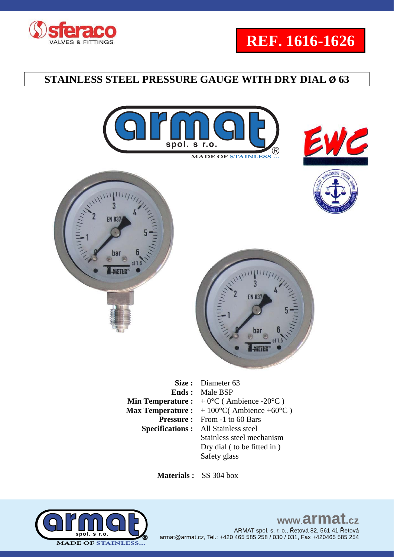





- **Specifications :**
- **Pressure :** From -1 to 60 Bars<br>**ifications :** All Stainless steel Stainless steel mechanism Dry dial ( to be fitted in ) Safety glass

 **Materials :** SS 304 box

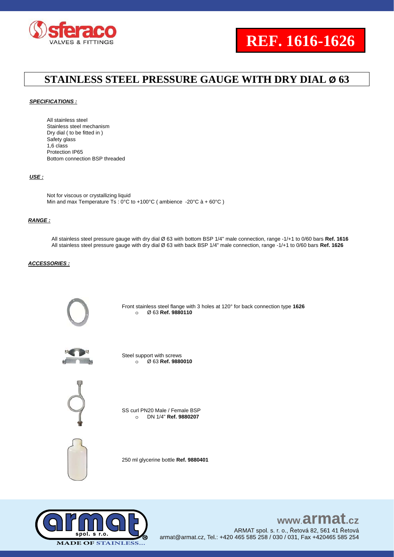

#### *SPECIFICATIONS :*

All stainless steel Stainless steel mechanism Dry dial ( to be fitted in ) Safety glass 1,6 class Protection IP65 Bottom connection BSP threaded

#### *USE :*

Not for viscous or crystallizing liquid Min and max Temperature Ts : 0°C to +100°C ( ambience -20°C à + 60°C )

#### *RANGE :*

All stainless steel pressure gauge with dry dial Ø 63 with bottom BSP 1/4" male connection, range -1/+1 to 0/60 bars **Ref. 1616** All stainless steel pressure gauge with dry dial Ø 63 with back BSP 1/4" male connection, range -1/+1 to 0/60 bars **Ref. 1626**

#### *ACCESSORIES :*



Front stainless steel flange with 3 holes at 120° for back connection type **1626**



Steel support with screws o Ø 63 **Ref. 9880010**

o Ø 63 **Ref. 9880110**



SS curl PN20 Male / Female BSP o DN 1/4" **Ref. 9880207**



250 ml glycerine bottle **Ref. 9880401**



# www.armat.cz

ARMAT spol. s. r. o., Řetová 82, 561 41 Řetová armat@armat.cz, Tel.: +420 465 585 258 / 030 / 031, Fax +420465 585 254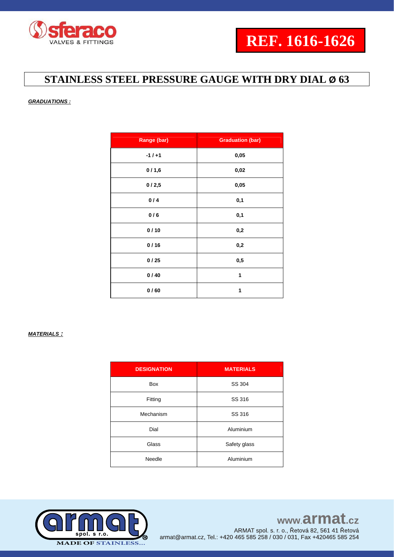

#### *GRADUATIONS :*

| Range (bar) | <b>Graduation (bar)</b> |
|-------------|-------------------------|
| $-1/+1$     | 0,05                    |
| 0/1,6       | 0,02                    |
| 0/2,5       | 0,05                    |
| 0/4         | 0,1                     |
| 0/6         | 0,1                     |
| 0/10        | 0,2                     |
| 0/16        | 0,2                     |
| 0/25        | 0,5                     |
| 0/40        | 1                       |
| 0/60        | 1                       |

#### *MATERIALS :*

| <b>DESIGNATION</b> | <b>MATERIALS</b> |
|--------------------|------------------|
| Box                | SS 304           |
| Fitting            | SS 316           |
| Mechanism          | SS 316           |
| Dial               | Aluminium        |
| Glass              | Safety glass     |
| Needle             | Aluminium        |

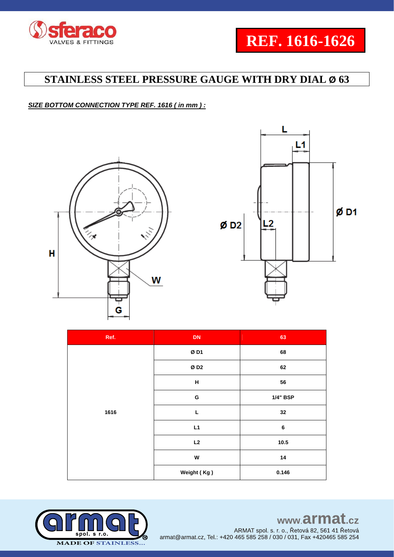

### *SIZE BOTTOM CONNECTION TYPE REF. 1616 ( in mm ) :*





| Ref. | <b>DN</b>   | 63              |
|------|-------------|-----------------|
| 1616 | ØD1         | 68              |
|      | ØD2         | 62              |
|      | н           | 56              |
|      | G           | <b>1/4" BSP</b> |
|      | L           | $32\,$          |
|      | L1          | 6               |
|      | L2          | 10.5            |
|      | W           | 14              |
|      | Weight (Kg) | 0.146           |

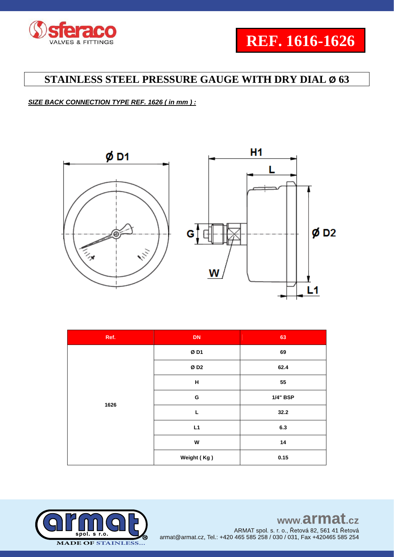

### *SIZE BACK CONNECTION TYPE REF. 1626 ( in mm ) :*



| Ref. | <b>DN</b>   | 63       |
|------|-------------|----------|
| 1626 | ØD1         | 69       |
|      | ØD2         | 62.4     |
|      | н           | 55       |
|      | G           | 1/4" BSP |
|      | L           | 32.2     |
|      | L1          | 6.3      |
|      | W           | 14       |
|      | Weight (Kg) | 0.15     |